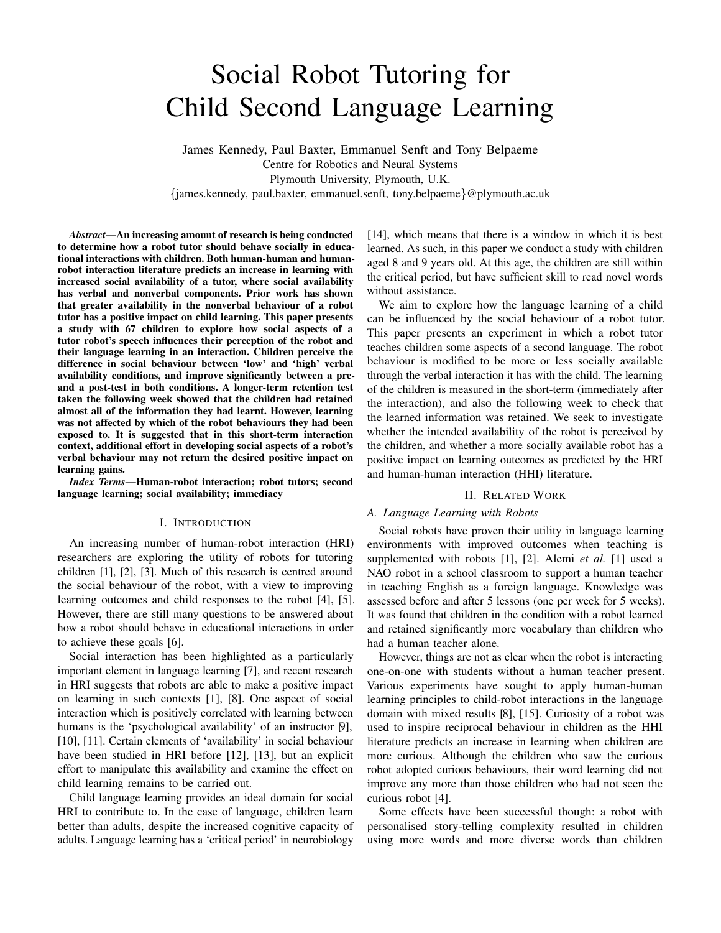# Social Robot Tutoring for Child Second Language Learning

James Kennedy, Paul Baxter, Emmanuel Senft and Tony Belpaeme Centre for Robotics and Neural Systems Plymouth University, Plymouth, U.K. {james.kennedy, paul.baxter, emmanuel.senft, tony.belpaeme}@plymouth.ac.uk

*Abstract*—An increasing amount of research is being conducted to determine how a robot tutor should behave socially in educational interactions with children. Both human-human and humanrobot interaction literature predicts an increase in learning with increased social availability of a tutor, where social availability has verbal and nonverbal components. Prior work has shown that greater availability in the nonverbal behaviour of a robot tutor has a positive impact on child learning. This paper presents a study with 67 children to explore how social aspects of a tutor robot's speech influences their perception of the robot and their language learning in an interaction. Children perceive the difference in social behaviour between 'low' and 'high' verbal availability conditions, and improve significantly between a preand a post-test in both conditions. A longer-term retention test taken the following week showed that the children had retained almost all of the information they had learnt. However, learning was not affected by which of the robot behaviours they had been exposed to. It is suggested that in this short-term interaction context, additional effort in developing social aspects of a robot's verbal behaviour may not return the desired positive impact on learning gains.

*Index Terms*—Human-robot interaction; robot tutors; second language learning; social availability; immediacy

## I. INTRODUCTION

An increasing number of human-robot interaction (HRI) researchers are exploring the utility of robots for tutoring children [\[1\]](#page-7-0), [\[2\]](#page-7-1), [\[3\]](#page-7-2). Much of this research is centred around the social behaviour of the robot, with a view to improving learning outcomes and child responses to the robot [\[4\]](#page-7-3), [\[5\]](#page-7-4). However, there are still many questions to be answered about how a robot should behave in educational interactions in order to achieve these goals [\[6\]](#page-7-5).

Social interaction has been highlighted as a particularly important element in language learning [\[7\]](#page-7-6), and recent research in HRI suggests that robots are able to make a positive impact on learning in such contexts [\[1\]](#page-7-0), [\[8\]](#page-7-7). One aspect of social interaction which is positively correlated with learning between humans is the 'psychological availability' of an instructor [\[9\],](#page-7-8) [\[10\]](#page-7-9), [\[11\]](#page-7-10). Certain elements of 'availability' in social behaviour have been studied in HRI before [\[12\]](#page-7-11), [\[13\]](#page-7-12), but an explicit effort to manipulate this availability and examine the effect on child learning remains to be carried out.

Child language learning provides an ideal domain for social HRI to contribute to. In the case of language, children learn better than adults, despite the increased cognitive capacity of adults. Language learning has a 'critical period' in neurobiology

[\[14\]](#page-7-13), which means that there is a window in which it is best learned. As such, in this paper we conduct a study with children aged 8 and 9 years old. At this age, the children are still within the critical period, but have sufficient skill to read novel words without assistance.

We aim to explore how the language learning of a child can be influenced by the social behaviour of a robot tutor. This paper presents an experiment in which a robot tutor teaches children some aspects of a second language. The robot behaviour is modified to be more or less socially available through the verbal interaction it has with the child. The learning of the children is measured in the short-term (immediately after the interaction), and also the following week to check that the learned information was retained. We seek to investigate whether the intended availability of the robot is perceived by the children, and whether a more socially available robot has a positive impact on learning outcomes as predicted by the HRI and human-human interaction (HHI) literature.

## II. RELATED WORK

## *A. Language Learning with Robots*

Social robots have proven their utility in language learning environments with improved outcomes when teaching is supplemented with robots [\[1\]](#page-7-0), [\[2\]](#page-7-1). Alemi *et al.* [\[1\]](#page-7-0) used a NAO robot in a school classroom to support a human teacher in teaching English as a foreign language. Knowledge was assessed before and after 5 lessons (one per week for 5 weeks). It was found that children in the condition with a robot learned and retained significantly more vocabulary than children who had a human teacher alone.

However, things are not as clear when the robot is interacting one-on-one with students without a human teacher present. Various experiments have sought to apply human-human learning principles to child-robot interactions in the language domain with mixed results [\[8\]](#page-7-7), [\[15\]](#page-7-14). Curiosity of a robot was used to inspire reciprocal behaviour in children as the HHI literature predicts an increase in learning when children are more curious. Although the children who saw the curious robot adopted curious behaviours, their word learning did not improve any more than those children who had not seen the curious robot [\[4\]](#page-7-3).

Some effects have been successful though: a robot with personalised story-telling complexity resulted in children using more words and more diverse words than children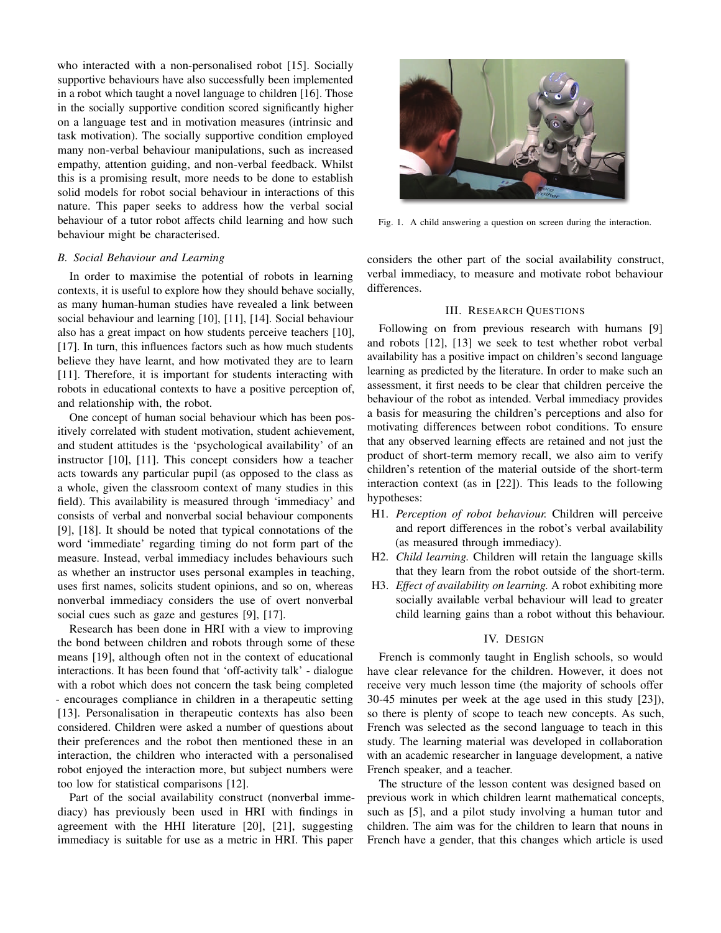who interacted with a non-personalised robot [\[15\]](#page-7-14). Socially supportive behaviours have also successfully been implemented in a robot which taught a novel language to children [\[16\]](#page-7-15). Those in the socially supportive condition scored significantly higher on a language test and in motivation measures (intrinsic and task motivation). The socially supportive condition employed many non-verbal behaviour manipulations, such as increased empathy, attention guiding, and non-verbal feedback. Whilst this is a promising result, more needs to be done to establish solid models for robot social behaviour in interactions of this nature. This paper seeks to address how the verbal social behaviour of a tutor robot affects child learning and how such behaviour might be characterised.

## *B. Social Behaviour and Learning*

In order to maximise the potential of robots in learning contexts, it is useful to explore how they should behave socially, as many human-human studies have revealed a link between social behaviour and learning [\[10\]](#page-7-9), [\[11\]](#page-7-10), [\[14\]](#page-7-13). Social behaviour also has a great impact on how students perceive teachers [\[10\]](#page-7-9), [\[17\]](#page-7-16). In turn, this influences factors such as how much students believe they have learnt, and how motivated they are to learn [\[11\]](#page-7-10). Therefore, it is important for students interacting with robots in educational contexts to have a positive perception of, and relationship with, the robot.

One concept of human social behaviour which has been positively correlated with student motivation, student achievement, and student attitudes is the 'psychological availability' of an instructor [\[10\]](#page-7-9), [\[11\]](#page-7-10). This concept considers how a teacher acts towards any particular pupil (as opposed to the class as a whole, given the classroom context of many studies in this field). This availability is measured through 'immediacy' and consists of verbal and nonverbal social behaviour components [\[9\]](#page-7-8), [\[18\]](#page-7-17). It should be noted that typical connotations of the word 'immediate' regarding timing do not form part of the measure. Instead, verbal immediacy includes behaviours such as whether an instructor uses personal examples in teaching, uses first names, solicits student opinions, and so on, whereas nonverbal immediacy considers the use of overt nonverbal social cues such as gaze and gestures [\[9\]](#page-7-8), [\[17\]](#page-7-16).

Research has been done in HRI with a view to improving the bond between children and robots through some of these means [\[19\]](#page-7-18), although often not in the context of educational interactions. It has been found that 'off-activity talk' - dialogue with a robot which does not concern the task being completed - encourages compliance in children in a therapeutic setting [\[13\]](#page-7-12). Personalisation in therapeutic contexts has also been considered. Children were asked a number of questions about their preferences and the robot then mentioned these in an interaction, the children who interacted with a personalised robot enjoyed the interaction more, but subject numbers were too low for statistical comparisons [[12\]](#page-7-11).

Part of the social availability construct (nonverbal immediacy) has previously been used in HRI with findings in agreement with the HHI literature [\[20\]](#page-7-19), [\[21\]](#page-7-20), suggesting immediacy is suitable for use as a metric in HRI. This paper



Fig. 1. A child answering a question on screen during the interaction.

<span id="page-1-0"></span>considers the other part of the social availability construct, verbal immediacy, to measure and motivate robot behaviour differences.

## III. RESEARCH QUESTIONS

<span id="page-1-1"></span>Following on from previous research with humans [\[9\]](#page-7-8) and robots [\[12\]](#page-7-11), [\[13\]](#page-7-12) we seek to test whether robot verbal availability has a positive impact on children's second language learning as predicted by the literature. In order to make such an assessment, it first needs to be clear that children perceive the behaviour of the robot as intended. Verbal immediacy provides a basis for measuring the children's perceptions and also for motivating differences between robot conditions. To ensure that any observed learning effects are retained and not just the product of short-term memory recall, we also aim to verify children's retention of the material outside of the short-term interaction context (as in [\[22\]](#page-7-21)). This leads to the following hypotheses:

- H1. *Perception of robot behaviour.* Children will perceive and report differences in the robot's verbal availability (as measured through immediacy).
- H2. *Child learning.* Children will retain the language skills that they learn from the robot outside of the short-term.
- H3. *Effect of availability on learning.* A robot exhibiting more socially available verbal behaviour will lead to greater child learning gains than a robot without this behaviour.

#### IV. DESIGN

French is commonly taught in English schools, so would have clear relevance for the children. However, it does not receive very much lesson time (the majority of schools offer 30-45 minutes per week at the age used in this study [\[23\]](#page-7-22)), so there is plenty of scope to teach new concepts. As such, French was selected as the second language to teach in this study. The learning material was developed in collaboration with an academic researcher in language development, a native French speaker, and a teacher.

The structure of the lesson content was designed based on previous work in which children learnt mathematical concepts, such as [\[5\]](#page-7-4), and a pilot study involving a human tutor and children. The aim was for the children to learn that nouns in French have a gender, that this changes which article is used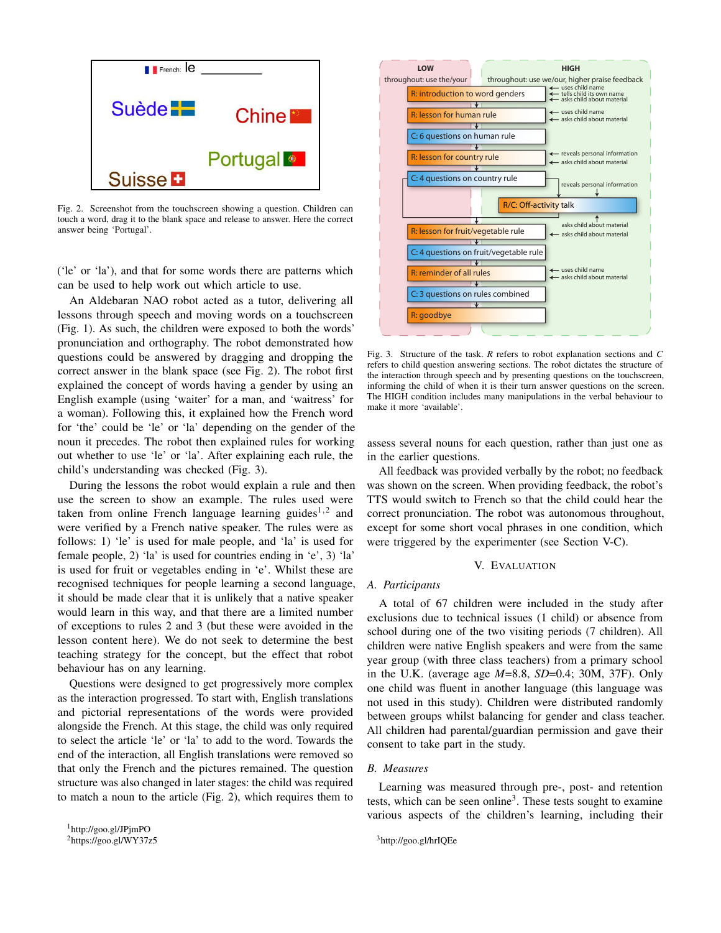

<span id="page-2-0"></span>Fig. 2. Screenshot from the touchscreen showing a question. Children can touch a word, drag it to the blank space and release to answer. Here the correct answer being 'Portugal'.

('le' or 'la'), and that for some words there are patterns which can be used to help work out which article to use.

An Aldebaran NAO robot acted as a tutor, delivering all lessons through speech and moving words on a touchscreen (Fig. [1\)](#page-1-0). As such, the children were exposed to both the words' pronunciation and orthography. The robot demonstrated how questions could be answered by dragging and dropping the correct answer in the blank space (see Fig. [2\)](#page-2-0). The robot first explained the concept of words having a gender by using an English example (using 'waiter' for a man, and 'waitress' for a woman). Following this, it explained how the French word for 'the' could be 'le' or 'la' depending on the gender of the noun it precedes. The robot then explained rules for working out whether to use 'le' or 'la'. After explaining each rule, the child's understanding was checked (Fig. [3\)](#page-2-1).

During the lessons the robot would explain a rule and then use the screen to show an example. The rules used were taken from online French language learning guides $1,2$  $1,2$  $1,2$  and were verified by a French native speaker. The rules were as follows: 1) 'le' is used for male people, and 'la' is used for female people, 2) 'la' is used for countries ending in 'e', 3) 'la' is used for fruit or vegetables ending in 'e'. Whilst these are recognised techniques for people learning a second language, it should be made clear that it is unlikely that a native speaker would learn in this way, and that there are a limited number of exceptions to rules 2 and 3 (but these were avoided in the lesson content here). We do not seek to determine the best teaching strategy for the concept, but the effect that robot behaviour has on any learning.

Questions were designed to get progressively more complex as the interaction progressed. To start with, English translations and pictorial representations of the words were provided alongside the French. At this stage, the child was only required to select the article 'le' or 'la' to add to the word. Towards the end of the interaction, all English translations were removed so that only the French and the pictures remained. The question structure was also changed in later stages: the child was required to match a noun to the article (Fig. [2\)](#page-2-0), which requires them to



<span id="page-2-1"></span>Fig. 3. Structure of the task. *R* refers to robot explanation sections and *C* refers to child question answering sections. The robot dictates the structure of the interaction through speech and by presenting questions on the touchscreen, informing the child of when it is their turn answer questions on the screen. The HIGH condition includes many manipulations in the verbal behaviour to make it more 'available'.

assess several nouns for each question, rather than just one as in the earlier questions.

All feedback was provided verbally by the robot; no feedback was shown on the screen. When providing feedback, the robot's TTS would switch to French so that the child could hear the correct pronunciation. The robot was autonomous throughout, except for some short vocal phrases in one condition, which were triggered by the experimenter (see Section [V-C\)](#page-3-0).

#### V. EVALUATION

## *A. Participants*

A total of 67 children were included in the study after exclusions due to technical issues (1 child) or absence from school during one of the two visiting periods (7 children). All children were native English speakers and were from the same year group (with three class teachers) from a primary school in the U.K. (average age *M*=8.8, *SD*=0.4; 30M, 37F). Only one child was fluent in another language (this language was not used in this study). Children were distributed randomly between groups whilst balancing for gender and class teacher. All children had parental/guardian permission and gave their consent to take part in the study.

## <span id="page-2-5"></span>*B. Measures*

Learning was measured through pre-, post- and retention tests, which can be seen online<sup>[3](#page-2-4)</sup>. These tests sought to examine various aspects of the children's learning, including their

```
3http://goo.gl/hrIQEe
```
<span id="page-2-2"></span><sup>1</sup><http://goo.gl/JPjmPO>

<span id="page-2-3"></span><sup>2</sup><https://goo.gl/WY37z5>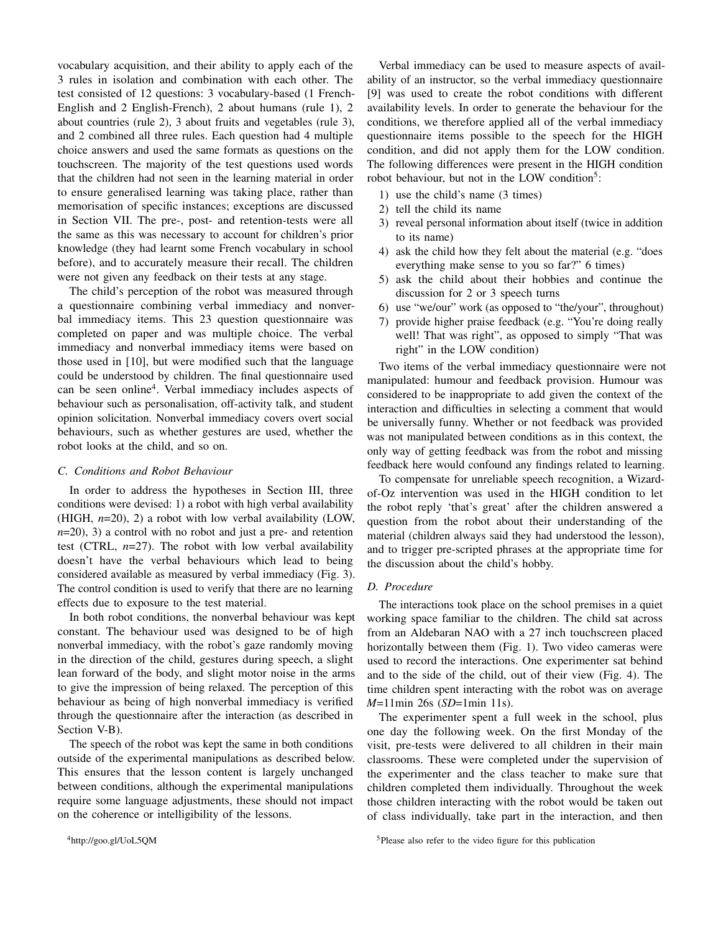vocabulary acquisition, and their ability to apply each of the 3 rules in isolation and combination with each other. The test consisted of 12 questions: 3 vocabulary-based (1 French-English and 2 English-French), 2 about humans (rule 1), 2 about countries (rule 2), 3 about fruits and vegetables (rule 3), and 2 combined all three rules. Each question had 4 multiple choice answers and used the same formats as questions on the touchscreen. The majority of the test questions used words that the children had not seen in the learning material in order to ensure generalised learning was taking place, rather than memorisation of specific instances; exceptions are discussed in Section [VII.](#page-5-0) The pre-, post- and retention-tests were all the same as this was necessary to account for children's prior knowledge (they had learnt some French vocabulary in school before), and to accurately measure their recall. The children were not given any feedback on their tests at any stage.

The child's perception of the robot was measured through a questionnaire combining verbal immediacy and nonverbal immediacy items. This 23 question questionnaire was completed on paper and was multiple choice. The verbal immediacy and nonverbal immediacy items were based on those used in [\[10\]](#page-7-9), but were modified such that the language could be understood by children. The final questionnaire used can be seen online<sup>[4](#page-3-1)</sup>. Verbal immediacy includes aspects of behaviour such as personalisation, off-activity talk, and student opinion solicitation. Nonverbal immediacy covers overt social behaviours, such as whether gestures are used, whether the robot looks at the child, and so on.

#### <span id="page-3-0"></span>*C. Conditions and Robot Behaviour*

In order to address the hypotheses in Section [III,](#page-1-1) three conditions were devised: 1) a robot with high verbal availability (HIGH, *n*=20), 2) a robot with low verbal availability (LOW, *n*=20), 3) a control with no robot and just a pre- and retention test (CTRL, *n*=27). The robot with low verbal availability doesn't have the verbal behaviours which lead to being considered available as measured by verbal immediacy (Fig. [3\)](#page-2-1). The control condition is used to verify that there are no learning effects due to exposure to the test material.

In both robot conditions, the nonverbal behaviour was kept constant. The behaviour used was designed to be of high nonverbal immediacy, with the robot's gaze randomly moving in the direction of the child, gestures during speech, a slight lean forward of the body, and slight motor noise in the arms to give the impression of being relaxed. The perception of this behaviour as being of high nonverbal immediacy is verified through the questionnaire after the interaction (as described in Section [V-B\)](#page-2-5).

<span id="page-3-1"></span>The speech of the robot was kept the same in both conditions outside of the experimental manipulations as described below. This ensures that the lesson content is largely unchanged between conditions, although the experimental manipulations require some language adjustments, these should not impact on the coherence or intelligibility of the lessons.

Verbal immediacy can be used to measure aspects of availability of an instructor, so the verbal immediacy questionnaire [\[9\]](#page-7-8) was used to create the robot conditions with different availability levels. In order to generate the behaviour for the conditions, we therefore applied all of the verbal immediacy questionnaire items possible to the speech for the HIGH condition, and did not apply them for the LOW condition. The following differences were present in the HIGH condition robot behaviour, but not in the LOW condition<sup>[5](#page-3-2)</sup>:

- 1) use the child's name (3 times)
- 2) tell the child its name
- 3) reveal personal information about itself (twice in addition to its name)
- 4) ask the child how they felt about the material (e.g. "does everything make sense to you so far?" 6 times)
- 5) ask the child about their hobbies and continue the discussion for 2 or 3 speech turns
- 6) use "we/our" work (as opposed to "the/your", throughout)
- 7) provide higher praise feedback (e.g. "You're doing really well! That was right", as opposed to simply "That was right" in the LOW condition)

Two items of the verbal immediacy questionnaire were not manipulated: humour and feedback provision. Humour was considered to be inappropriate to add given the context of the interaction and difficulties in selecting a comment that would be universally funny. Whether or not feedback was provided was not manipulated between conditions as in this context, the only way of getting feedback was from the robot and missing feedback here would confound any findings related to learning.

To compensate for unreliable speech recognition, a Wizardof-Oz intervention was used in the HIGH condition to let the robot reply 'that's great' after the children answered a question from the robot about their understanding of the material (children always said they had understood the lesson), and to trigger pre-scripted phrases at the appropriate time for the discussion about the child's hobby.

#### *D. Procedure*

The interactions took place on the school premises in a quiet working space familiar to the children. The child sat across from an Aldebaran NAO with a 27 inch touchscreen placed horizontally between them (Fig. [1\)](#page-1-0). Two video cameras were used to record the interactions. One experimenter sat behind and to the side of the child, out of their view (Fig. [4\)](#page-4-0). The time children spent interacting with the robot was on average *M*=11min 26s (*SD*=1min 11s).

<span id="page-3-2"></span>The experimenter spent a full week in the school, plus one day the following week. On the first Monday of the visit, pre-tests were delivered to all children in their main classrooms. These were completed under the supervision of the experimenter and the class teacher to make sure that children completed them individually. Throughout the week those children interacting with the robot would be taken out of class individually, take part in the interaction, and then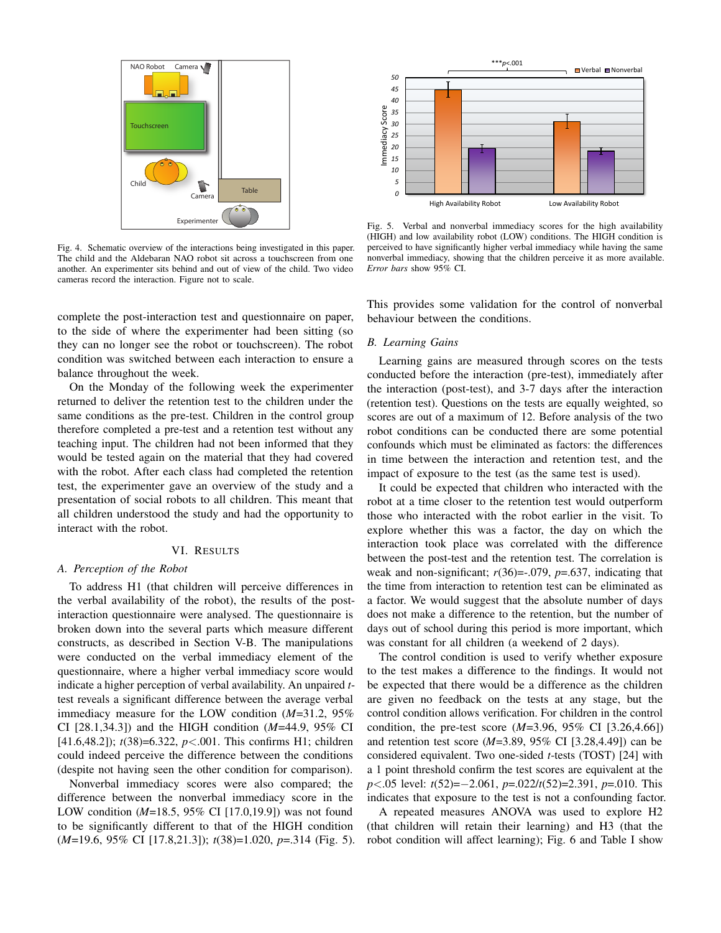

<span id="page-4-0"></span>Fig. 4. Schematic overview of the interactions being investigated in this paper. The child and the Aldebaran NAO robot sit across a touchscreen from one another. An experimenter sits behind and out of view of the child. Two video cameras record the interaction. Figure not to scale.

complete the post-interaction test and questionnaire on paper, to the side of where the experimenter had been sitting (so they can no longer see the robot or touchscreen). The robot condition was switched between each interaction to ensure a balance throughout the week.

On the Monday of the following week the experimenter returned to deliver the retention test to the children under the same conditions as the pre-test. Children in the control group therefore completed a pre-test and a retention test without any teaching input. The children had not been informed that they would be tested again on the material that they had covered with the robot. After each class had completed the retention test, the experimenter gave an overview of the study and a presentation of social robots to all children. This meant that all children understood the study and had the opportunity to interact with the robot.

## VI. RESULTS

## *A. Perception of the Robot*

To address H1 (that children will perceive differences in the verbal availability of the robot), the results of the postinteraction questionnaire were analysed. The questionnaire is broken down into the several parts which measure different constructs, as described in Section [V-B.](#page-2-5) The manipulations were conducted on the verbal immediacy element of the questionnaire, where a higher verbal immediacy score would indicate a higher perception of verbal availability. An unpaired *t*test reveals a significant difference between the average verbal immediacy measure for the LOW condition (*M*=31.2, 95% CI [28.1,34.3]) and the HIGH condition (*M*=44.9, 95% CI [41.6,48.2]); *t*(38)=6.322, *p*<.001. This confirms H1; children could indeed perceive the difference between the conditions (despite not having seen the other condition for comparison).

Nonverbal immediacy scores were also compared; the difference between the nonverbal immediacy score in the LOW condition (*M*=18.5, 95% CI [17.0,19.9]) was not found to be significantly different to that of the HIGH condition (*M*=19.6, 95% CI [17.8,21.3]); *t*(38)=1.020, *p*=.314 (Fig. [5\)](#page-4-1).



<span id="page-4-1"></span>Fig. 5. Verbal and nonverbal immediacy scores for the high availability (HIGH) and low availability robot (LOW) conditions. The HIGH condition is perceived to have significantly higher verbal immediacy while having the same nonverbal immediacy, showing that the children perceive it as more available. *Error bars* show 95% CI.

This provides some validation for the control of nonverbal behaviour between the conditions.

## *B. Learning Gains*

Learning gains are measured through scores on the tests conducted before the interaction (pre-test), immediately after the interaction (post-test), and 3-7 days after the interaction (retention test). Questions on the tests are equally weighted, so scores are out of a maximum of 12. Before analysis of the two robot conditions can be conducted there are some potential confounds which must be eliminated as factors: the differences in time between the interaction and retention test, and the impact of exposure to the test (as the same test is used).

It could be expected that children who interacted with the robot at a time closer to the retention test would outperform those who interacted with the robot earlier in the visit. To explore whether this was a factor, the day on which the interaction took place was correlated with the difference between the post-test and the retention test. The correlation is weak and non-significant; *r*(36)=-.079, *p*=.637, indicating that the time from interaction to retention test can be eliminated as a factor. We would suggest that the absolute number of days does not make a difference to the retention, but the number of days out of school during this period is more important, which was constant for all children (a weekend of 2 days).

The control condition is used to verify whether exposure to the test makes a difference to the findings. It would not be expected that there would be a difference as the children are given no feedback on the tests at any stage, but the control condition allows verification. For children in the control condition, the pre-test score (*M*=3.96, 95% CI [3.26,4.66]) and retention test score (*M*=3.89, 95% CI [3.28,4.49]) can be considered equivalent. Two one-sided *t*-tests (TOST) [\[24\]](#page-7-23) with a 1 point threshold confirm the test scores are equivalent at the *p*<.05 level: *t*(52)=−2.061, *p*=.022/*t*(52)=2.391, *p*=.010. This indicates that exposure to the test is not a confounding factor.

A repeated measures ANOVA was used to explore H2 (that children will retain their learning) and H3 (that the robot condition will affect learning); Fig. [6](#page-5-1) and Table [I](#page-5-2) show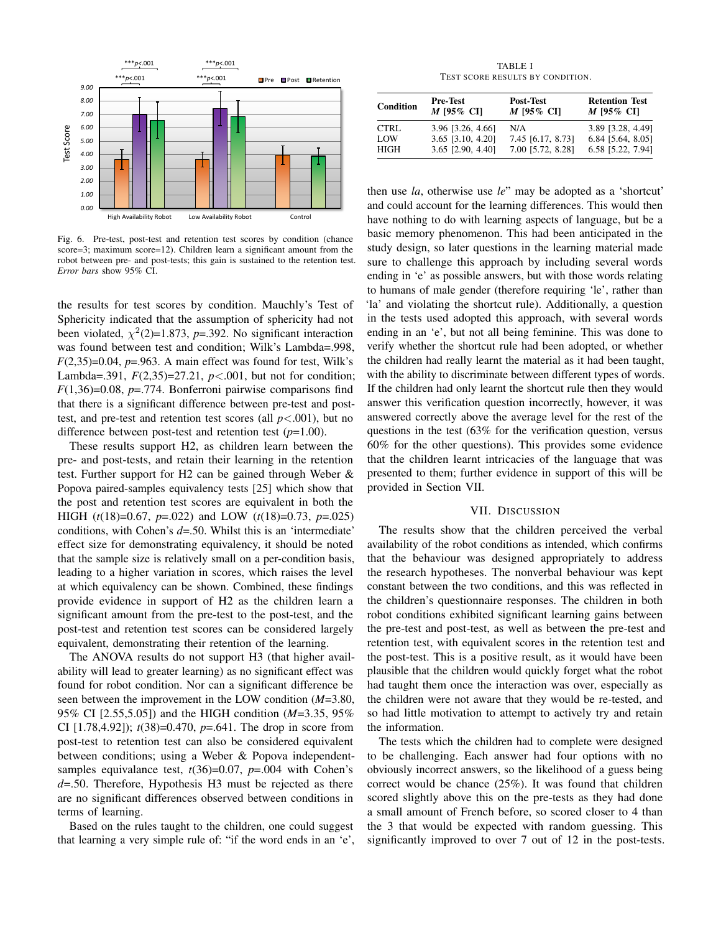

<span id="page-5-1"></span>Fig. 6. Pre-test, post-test and retention test scores by condition (chance score=3; maximum score=12). Children learn a significant amount from the robot between pre- and post-tests; this gain is sustained to the retention test. *Error bars* show 95% CI.

the results for test scores by condition. Mauchly's Test of Sphericity indicated that the assumption of sphericity had not been violated,  $\chi^2(2)=1.873$ ,  $p=.392$ . No significant interaction was found between test and condition; Wilk's Lambda=.998,  $F(2,35)=0.04$ ,  $p=.963$ . A main effect was found for test, Wilk's Lambda=.391, *F*(2,35)=27.21, *p*<.001, but not for condition; *F*(1,36)=0.08, *p*=.774. Bonferroni pairwise comparisons find that there is a significant difference between pre-test and posttest, and pre-test and retention test scores (all  $p < .001$ ), but no difference between post-test and retention test (*p*=1.00).

These results support H2, as children learn between the pre- and post-tests, and retain their learning in the retention test. Further support for H2 can be gained through Weber & Popova paired-samples equivalency tests [\[25\]](#page-7-24) which show that the post and retention test scores are equivalent in both the HIGH (*t*(18)=0.67, *p*=.022) and LOW (*t*(18)=0.73, *p*=.025) conditions, with Cohen's *d*=.50. Whilst this is an 'intermediate' effect size for demonstrating equivalency, it should be noted that the sample size is relatively small on a per-condition basis, leading to a higher variation in scores, which raises the level at which equivalency can be shown. Combined, these findings provide evidence in support of H2 as the children learn a significant amount from the pre-test to the post-test, and the post-test and retention test scores can be considered largely equivalent, demonstrating their retention of the learning.

The ANOVA results do not support H3 (that higher availability will lead to greater learning) as no significant effect was found for robot condition. Nor can a significant difference be seen between the improvement in the LOW condition (*M*=3.80, 95% CI [2.55,5.05]) and the HIGH condition (*M*=3.35, 95% CI [1.78,4.92]); *t*(38)=0.470, *p*=.641. The drop in score from post-test to retention test can also be considered equivalent between conditions; using a Weber & Popova independentsamples equivalance test,  $t(36)=0.07$ ,  $p=.004$  with Cohen's *d*=.50. Therefore, Hypothesis H3 must be rejected as there are no significant differences observed between conditions in terms of learning.

Based on the rules taught to the children, one could suggest that learning a very simple rule of: "if the word ends in an 'e',

TABLE I TEST SCORE RESULTS BY CONDITION.

<span id="page-5-2"></span>

| <b>Condition</b> | <b>Pre-Test</b>   | <b>Post-Test</b>  | <b>Retention Test</b> |
|------------------|-------------------|-------------------|-----------------------|
|                  | M 195% CII        | M 195% CI1        | M 195% CI1            |
| CTRL             | 3.96 [3.26, 4.66] | N/A               | 3.89 [3.28, 4.49]     |
| <b>LOW</b>       | 3.65 [3.10, 4.20] | 7.45 [6.17, 8.73] | 6.84 [5.64, 8.05]     |
| <b>HIGH</b>      | 3.65 [2.90, 4.40] | 7.00 [5.72, 8.28] | 6.58 [5.22, 7.94]     |

then use *la*, otherwise use *le*" may be adopted as a 'shortcut' and could account for the learning differences. This would then have nothing to do with learning aspects of language, but be a basic memory phenomenon. This had been anticipated in the study design, so later questions in the learning material made sure to challenge this approach by including several words ending in 'e' as possible answers, but with those words relating to humans of male gender (therefore requiring 'le', rather than 'la' and violating the shortcut rule). Additionally, a question in the tests used adopted this approach, with several words ending in an 'e', but not all being feminine. This was done to verify whether the shortcut rule had been adopted, or whether the children had really learnt the material as it had been taught, with the ability to discriminate between different types of words. If the children had only learnt the shortcut rule then they would answer this verification question incorrectly, however, it was answered correctly above the average level for the rest of the questions in the test (63% for the verification question, versus 60% for the other questions). This provides some evidence that the children learnt intricacies of the language that was presented to them; further evidence in support of this will be provided in Section [VII.](#page-5-0)

## VII. DISCUSSION

<span id="page-5-0"></span>The results show that the children perceived the verbal availability of the robot conditions as intended, which confirms that the behaviour was designed appropriately to address the research hypotheses. The nonverbal behaviour was kept constant between the two conditions, and this was reflected in the children's questionnaire responses. The children in both robot conditions exhibited significant learning gains between the pre-test and post-test, as well as between the pre-test and retention test, with equivalent scores in the retention test and the post-test. This is a positive result, as it would have been plausible that the children would quickly forget what the robot had taught them once the interaction was over, especially as the children were not aware that they would be re-tested, and so had little motivation to attempt to actively try and retain the information.

The tests which the children had to complete were designed to be challenging. Each answer had four options with no obviously incorrect answers, so the likelihood of a guess being correct would be chance (25%). It was found that children scored slightly above this on the pre-tests as they had done a small amount of French before, so scored closer to 4 than the 3 that would be expected with random guessing. This significantly improved to over 7 out of 12 in the post-tests.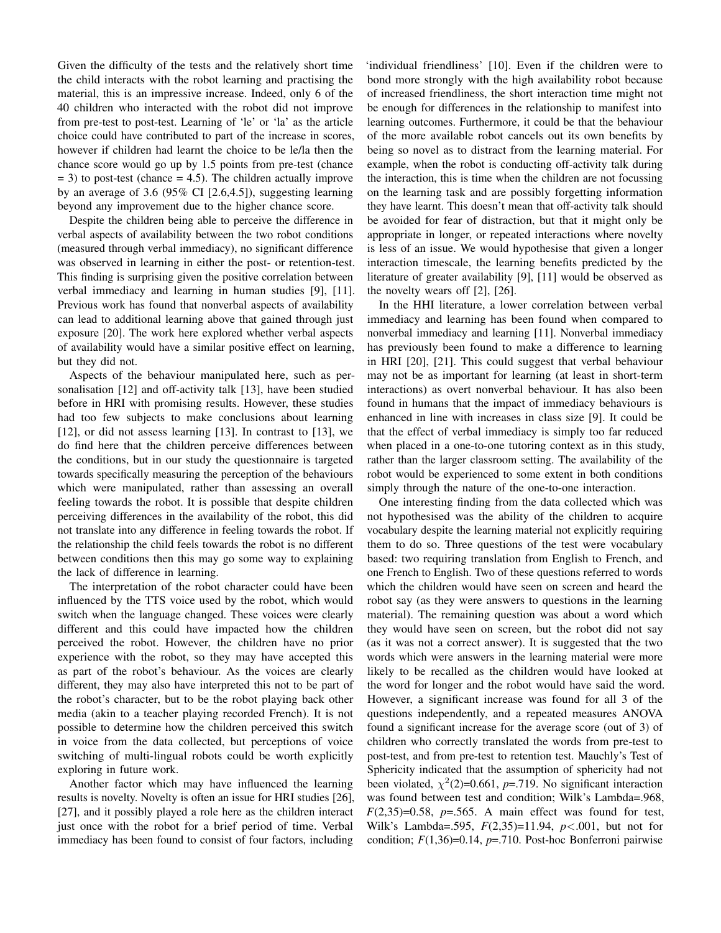Given the difficulty of the tests and the relatively short time the child interacts with the robot learning and practising the material, this is an impressive increase. Indeed, only 6 of the 40 children who interacted with the robot did not improve from pre-test to post-test. Learning of 'le' or 'la' as the article choice could have contributed to part of the increase in scores, however if children had learnt the choice to be le/la then the chance score would go up by 1.5 points from pre-test (chance  $=$  3) to post-test (chance  $=$  4.5). The children actually improve by an average of 3.6 (95% CI [2.6,4.5]), suggesting learning beyond any improvement due to the higher chance score.

Despite the children being able to perceive the difference in verbal aspects of availability between the two robot conditions (measured through verbal immediacy), no significant difference was observed in learning in either the post- or retention-test. This finding is surprising given the positive correlation between verbal immediacy and learning in human studies [\[9\]](#page-7-8), [\[11\]](#page-7-10). Previous work has found that nonverbal aspects of availability can lead to additional learning above that gained through just exposure [\[20\]](#page-7-19). The work here explored whether verbal aspects of availability would have a similar positive effect on learning, but they did not.

Aspects of the behaviour manipulated here, such as personalisation [\[12\]](#page-7-11) and off-activity talk [\[13\]](#page-7-12), have been studied before in HRI with promising results. However, these studies had too few subjects to make conclusions about learning [\[12\]](#page-7-11), or did not assess learning [\[13\]](#page-7-12). In contrast to [13], we do find here that the children perceive differences between the conditions, but in our study the questionnaire is targeted towards specifically measuring the perception of the behaviours which were manipulated, rather than assessing an overall feeling towards the robot. It is possible that despite children perceiving differences in the availability of the robot, this did not translate into any difference in feeling towards the robot. If the relationship the child feels towards the robot is no different between conditions then this may go some way to explaining the lack of difference in learning.

The interpretation of the robot character could have been influenced by the TTS voice used by the robot, which would switch when the language changed. These voices were clearly different and this could have impacted how the children perceived the robot. However, the children have no prior experience with the robot, so they may have accepted this as part of the robot's behaviour. As the voices are clearly different, they may also have interpreted this not to be part of the robot's character, but to be the robot playing back other media (akin to a teacher playing recorded French). It is not possible to determine how the children perceived this switch in voice from the data collected, but perceptions of voice switching of multi-lingual robots could be worth explicitly exploring in future work.

Another factor which may have influenced the learning results is novelty. Novelty is often an issue for HRI studies [\[26\]](#page-7-25), [\[27\]](#page-7-26), and it possibly played a role here as the children interact just once with the robot for a brief period of time. Verbal immediacy has been found to consist of four factors, including

'individual friendliness' [\[10\]](#page-7-9). Even if the children were to bond more strongly with the high availability robot because of increased friendliness, the short interaction time might not be enough for differences in the relationship to manifest into learning outcomes. Furthermore, it could be that the behaviour of the more available robot cancels out its own benefits by being so novel as to distract from the learning material. For example, when the robot is conducting off-activity talk during the interaction, this is time when the children are not focussing on the learning task and are possibly forgetting information they have learnt. This doesn't mean that off-activity talk should be avoided for fear of distraction, but that it might only be appropriate in longer, or repeated interactions where novelty is less of an issue. We would hypothesise that given a longer interaction timescale, the learning benefits predicted by the literature of greater availability [\[9\]](#page-7-8), [\[11\]](#page-7-10) would be observed as the novelty wears off [\[2\]](#page-7-1), [\[26\]](#page-7-25).

In the HHI literature, a lower correlation between verbal immediacy and learning has been found when compared to nonverbal immediacy and learning [\[11\]](#page-7-10). Nonverbal immediacy has previously been found to make a difference to learning in HRI [\[20\]](#page-7-19), [\[21\]](#page-7-20). This could suggest that verbal behaviour may not be as important for learning (at least in short-term interactions) as overt nonverbal behaviour. It has also been found in humans that the impact of immediacy behaviours is enhanced in line with increases in class size [\[9\]](#page-7-8). It could be that the effect of verbal immediacy is simply too far reduced when placed in a one-to-one tutoring context as in this study, rather than the larger classroom setting. The availability of the robot would be experienced to some extent in both conditions simply through the nature of the one-to-one interaction.

One interesting finding from the data collected which was not hypothesised was the ability of the children to acquire vocabulary despite the learning material not explicitly requiring them to do so. Three questions of the test were vocabulary based: two requiring translation from English to French, and one French to English. Two of these questions referred to words which the children would have seen on screen and heard the robot say (as they were answers to questions in the learning material). The remaining question was about a word which they would have seen on screen, but the robot did not say (as it was not a correct answer). It is suggested that the two words which were answers in the learning material were more likely to be recalled as the children would have looked at the word for longer and the robot would have said the word. However, a significant increase was found for all 3 of the questions independently, and a repeated measures ANOVA found a significant increase for the average score (out of 3) of children who correctly translated the words from pre-test to post-test, and from pre-test to retention test. Mauchly's Test of Sphericity indicated that the assumption of sphericity had not been violated,  $\chi^2(2)=0.661$ ,  $p=.719$ . No significant interaction was found between test and condition; Wilk's Lambda=.968,  $F(2,35)=0.58$ ,  $p=.565$ . A main effect was found for test, Wilk's Lambda=.595, *F*(2,35)=11.94, *p*<.001, but not for condition; *F*(1,36)=0.14, *p*=.710. Post-hoc Bonferroni pairwise